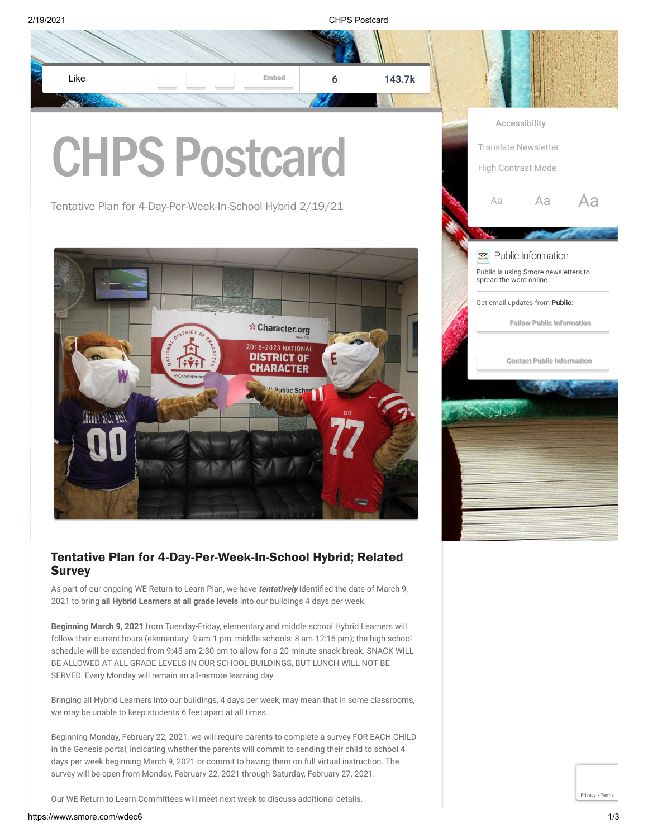

follow their current hours (elementary: 9 am-1 pm; middle schools: 8 am-12:16 pm); the high school schedule will be extended from 9:45 am-2:30 pm to allow for a 20-minute snack break. SNACK WILL BE ALLOWED AT ALL GRADE LEVELS IN OUR SCHOOL BUILDINGS, BUT LUNCH WILL NOT BE SERVED. Every Monday will remain an all-remote learning day.

Bringing all Hybrid Learners into our buildings, 4 days per week, may mean that in some classrooms, we may be unable to keep students 6 feet apart at all times.

Beginning Monday, February 22, 2021, we will require parents to complete a survey FOR EACH CHILD in the Genesis portal, indicating whether the parents will commit to sending their child to school 4 days per week beginning March 9, 2021 or commit to having them on full virtual instruction. The survey will be open from Monday, February 22, 2021 through Saturday, February 27, 2021.

Our WE Return to Learn Committees will meet next week to discuss additional details.

[Privacy](https://www.google.com/intl/en/policies/privacy/) - [Terms](https://www.google.com/intl/en/policies/terms/)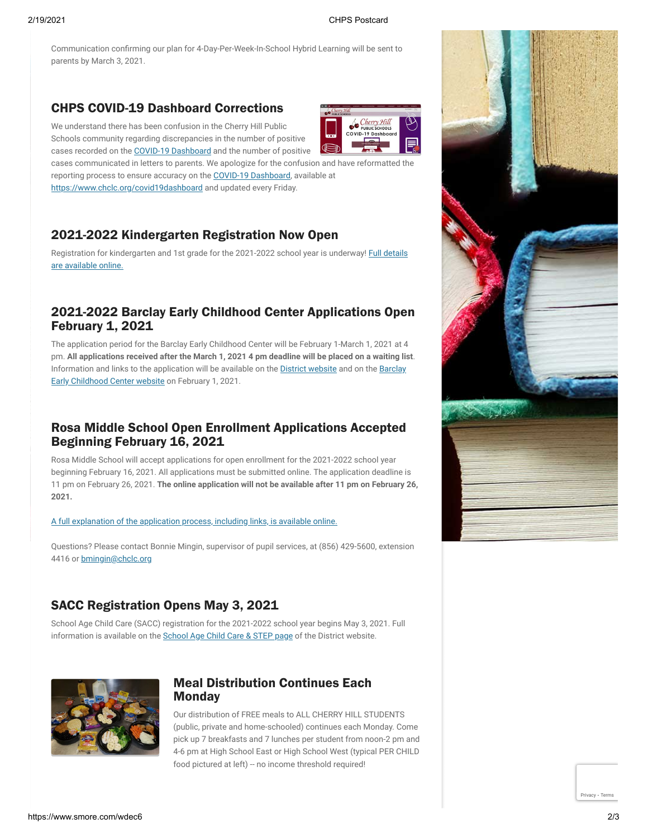**JE** 

Communication confirming our plan for 4-Day-Per-Week-In-School Hybrid Learning will be sent to parents by March 3, 2021.

# CHPS COVID-19 Dashboard Corrections

We understand there has been confusion in the Cherry Hill Public Schools community regarding discrepancies in the number of positive cases recorded on the [COVID-19 Dashboard](https://www.chclc.org/covid19dashboard) and the number of positive

cases communicated in letters to parents. We apologize for the confusion and have reformatted the reporting process to ensure accuracy on the [COVID-19 Dashboard,](https://www.chclc.org/covid19dashboard) available at <https://www.chclc.org/covid19dashboard>and updated every Friday.

## 2021-2022 Kindergarten Registration Now Open

[Registration for kindergarten and 1st grade for the 2021-2022 school year is underway! Full details](https://www.chclc.org/cms/lib/NJ50000493/Centricity/Domain/1097/Kindergarten%20Reg%20Poster.pdf) are available online.

### 2021-2022 Barclay Early Childhood Center Applications Open February 1, 2021

The application period for the Barclay Early Childhood Center will be February 1-March 1, 2021 at 4 pm. **All applications received after the March 1, 2021 4 pm deadline will be placed on a waiting list**. Information and links to the application will be available on the **D[istrict websit](https://www.chclc.org/)e** and on the Barclay Early Childhood Center website on February 1, 2021.

### Rosa Middle School Open Enrollment Applications Accepted Beginning February 16, 2021

Rosa Middle School will accept applications for open enrollment for the 2021-2022 school year beginning February 16, 2021. All applications must be submitted online. The application deadline is 11 pm on February 26, 2021. **The online application will not be available after 11 pm on February 26, 2021.**

### [A full explanation of the application process, including links, is available online.](https://www.chclc.org/cms/lib/NJ50000493/Centricity/Domain/1095/Rosa%20Application%20Process%20Letter21-22.pdf)

Questions? Please contact Bonnie Mingin, supervisor of pupil services, at (856) 429-5600, extension 4416 or **[bmingin@chclc.org](mailto:bmingin@chclc.org)** 

### SACC Registration Opens May 3, 2021

School Age Child Care (SACC) registration for the 2021-2022 school year begins May 3, 2021. Full information is available on the [School Age Child Care & STEP page](https://www.chclc.org/domain/982) of the District website.



### Meal Distribution Continues Each **Monday**

Our distribution of FREE meals to ALL CHERRY HILL STUDENTS (public, private and home-schooled) continues each Monday. Come pick up 7 breakfasts and 7 lunches per student from noon-2 pm and 4-6 pm at High School East or High School West (typical PER CHILD food pictured at left) -- no income threshold required!



[Privacy](https://www.google.com/intl/en/policies/privacy/) - [Terms](https://www.google.com/intl/en/policies/terms/)